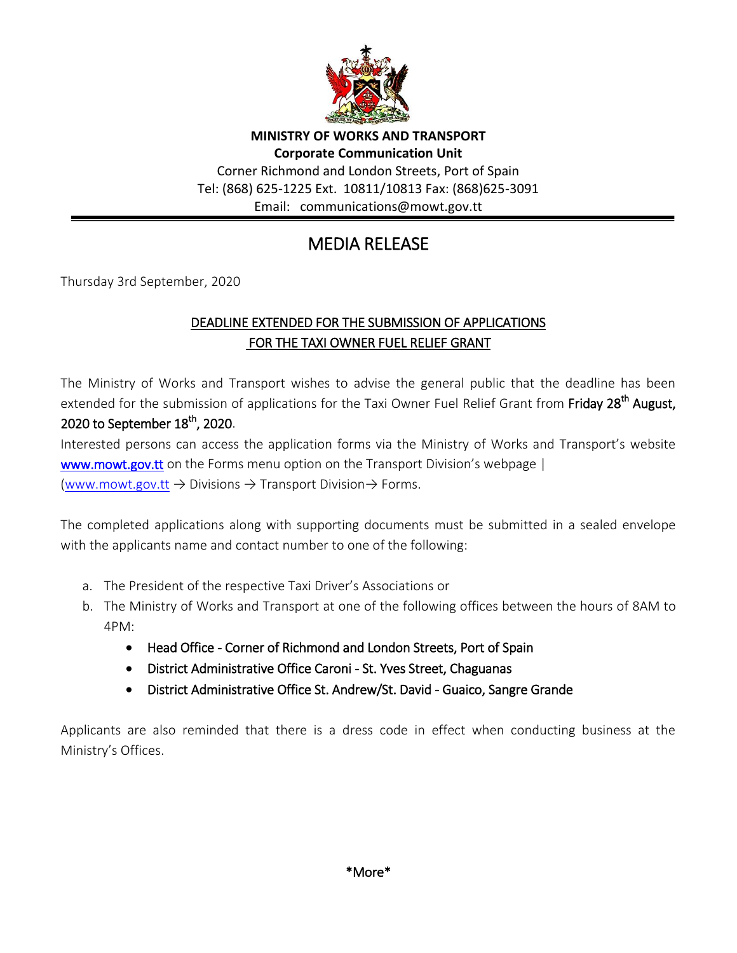

**MINISTRY OF WORKS AND TRANSPORT Corporate Communication Unit** Corner Richmond and London Streets, Port of Spain Tel: (868) 625-1225 Ext. 10811/10813 Fax: (868)625-3091 Email: communications@mowt.gov.tt

## MEDIA RELEASE

Thursday 3rd September, 2020

## DEADLINE EXTENDED FOR THE SUBMISSION OF APPLICATIONS FOR THE TAXI OWNER FUEL RELIEF GRANT

The Ministry of Works and Transport wishes to advise the general public that the deadline has been extended for the submission of applications for the Taxi Owner Fuel Relief Grant from Friday 28<sup>th</sup> August, 2020 to September  $18^{th}$ , 2020.

Interested persons can access the application forms via the Ministry of Works and Transport's website [www.mowt.gov.tt](http://www.mowt.gov.tt/) on the Forms menu option on the Transport Division's webpage | [\(www.mowt.gov.tt](http://www.mowt.gov.tt/)  $\rightarrow$  Divisions  $\rightarrow$  Transport Division $\rightarrow$  Forms.

The completed applications along with supporting documents must be submitted in a sealed envelope with the applicants name and contact number to one of the following:

- a. The President of the respective Taxi Driver's Associations or
- b. The Ministry of Works and Transport at one of the following offices between the hours of 8AM to 4PM:
	- Head Office Corner of Richmond and London Streets, Port of Spain
	- District Administrative Office Caroni St. Yves Street, Chaguanas
	- District Administrative Office St. Andrew/St. David Guaico, Sangre Grande

Applicants are also reminded that there is a dress code in effect when conducting business at the Ministry's Offices.